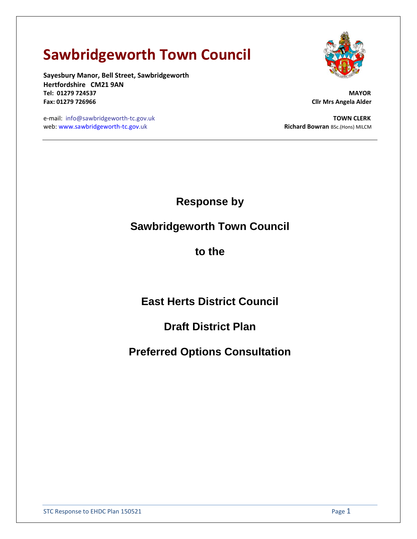# **Sawbridgeworth Town Council**

**Sayesbury Manor, Bell Street, Sawbridgeworth Hertfordshire CM21 9AN Tel: 01279 724537 MAYOR Fax: 01279 726966 Cllr Mrs Angela Alder**



e-mail: info@sawbridgeworth-tc.gov.uk **TOWN CLERK** web: [www.sawbridgeworth-tc.gov.](http://www.sawbridgeworth-tc.gov/)uk and the state of the state of the state of the Richard Bowran BSc.(Hons) MILCM

**Response by** 

**Sawbridgeworth Town Council** 

**to the** 

**East Herts District Council**

**Draft District Plan**

**Preferred Options Consultation**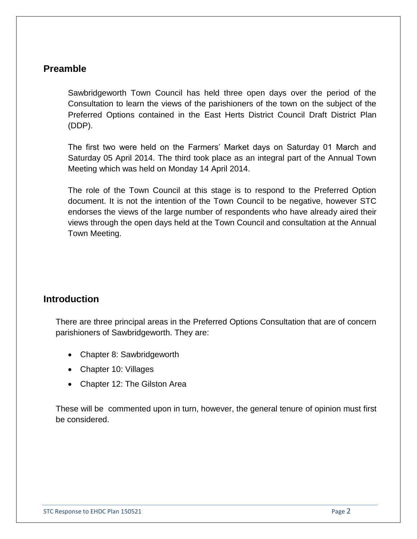## **Preamble**

Sawbridgeworth Town Council has held three open days over the period of the Consultation to learn the views of the parishioners of the town on the subject of the Preferred Options contained in the East Herts District Council Draft District Plan (DDP).

The first two were held on the Farmers' Market days on Saturday 01 March and Saturday 05 April 2014. The third took place as an integral part of the Annual Town Meeting which was held on Monday 14 April 2014.

The role of the Town Council at this stage is to respond to the Preferred Option document. It is not the intention of the Town Council to be negative, however STC endorses the views of the large number of respondents who have already aired their views through the open days held at the Town Council and consultation at the Annual Town Meeting.

## **Introduction**

There are three principal areas in the Preferred Options Consultation that are of concern parishioners of Sawbridgeworth. They are:

- Chapter 8: Sawbridgeworth
- Chapter 10: Villages
- Chapter 12: The Gilston Area

These will be commented upon in turn, however, the general tenure of opinion must first be considered.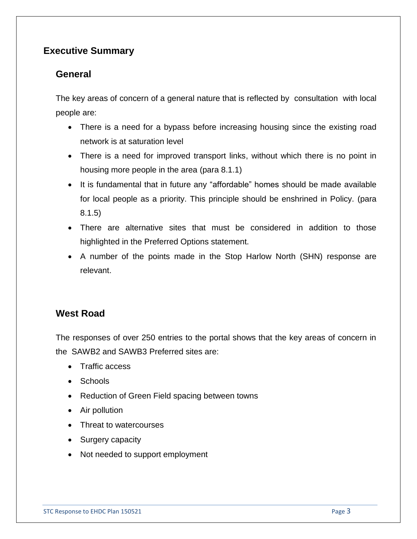# **Executive Summary**

## **General**

The key areas of concern of a general nature that is reflected by consultation with local people are:

- There is a need for a bypass before increasing housing since the existing road network is at saturation level
- There is a need for improved transport links, without which there is no point in housing more people in the area (para 8.1.1)
- It is fundamental that in future any "affordable" homes should be made available for local people as a priority. This principle should be enshrined in Policy. (para 8.1.5)
- There are alternative sites that must be considered in addition to those highlighted in the Preferred Options statement.
- A number of the points made in the Stop Harlow North (SHN) response are relevant.

## **West Road**

The responses of over 250 entries to the portal shows that the key areas of concern in the SAWB2 and SAWB3 Preferred sites are:

- Traffic access
- Schools
- Reduction of Green Field spacing between towns
- Air pollution
- Threat to watercourses
- Surgery capacity
- Not needed to support employment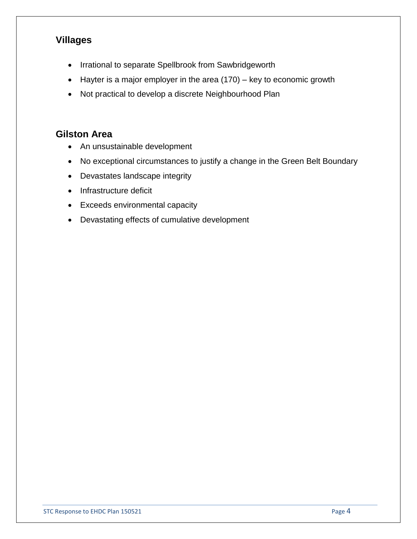# **Villages**

- Irrational to separate Spellbrook from Sawbridgeworth
- Hayter is a major employer in the area (170) key to economic growth
- Not practical to develop a discrete Neighbourhood Plan

## **Gilston Area**

- An unsustainable development
- No exceptional circumstances to justify a change in the Green Belt Boundary
- Devastates landscape integrity
- Infrastructure deficit
- Exceeds environmental capacity
- Devastating effects of cumulative development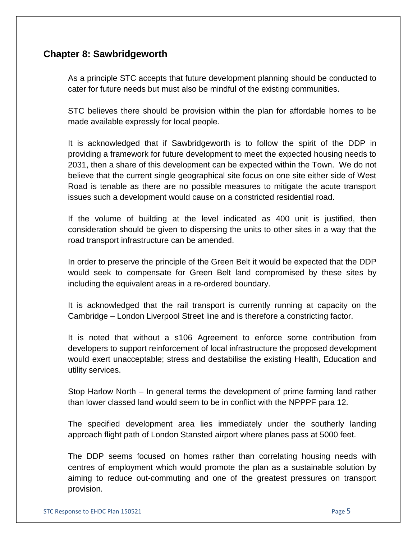## **Chapter 8: Sawbridgeworth**

As a principle STC accepts that future development planning should be conducted to cater for future needs but must also be mindful of the existing communities.

STC believes there should be provision within the plan for affordable homes to be made available expressly for local people.

It is acknowledged that if Sawbridgeworth is to follow the spirit of the DDP in providing a framework for future development to meet the expected housing needs to 2031, then a share of this development can be expected within the Town. We do not believe that the current single geographical site focus on one site either side of West Road is tenable as there are no possible measures to mitigate the acute transport issues such a development would cause on a constricted residential road.

If the volume of building at the level indicated as 400 unit is justified, then consideration should be given to dispersing the units to other sites in a way that the road transport infrastructure can be amended.

In order to preserve the principle of the Green Belt it would be expected that the DDP would seek to compensate for Green Belt land compromised by these sites by including the equivalent areas in a re-ordered boundary.

It is acknowledged that the rail transport is currently running at capacity on the Cambridge – London Liverpool Street line and is therefore a constricting factor.

It is noted that without a s106 Agreement to enforce some contribution from developers to support reinforcement of local infrastructure the proposed development would exert unacceptable; stress and destabilise the existing Health, Education and utility services.

Stop Harlow North – In general terms the development of prime farming land rather than lower classed land would seem to be in conflict with the NPPPF para 12.

The specified development area lies immediately under the southerly landing approach flight path of London Stansted airport where planes pass at 5000 feet.

The DDP seems focused on homes rather than correlating housing needs with centres of employment which would promote the plan as a sustainable solution by aiming to reduce out-commuting and one of the greatest pressures on transport provision.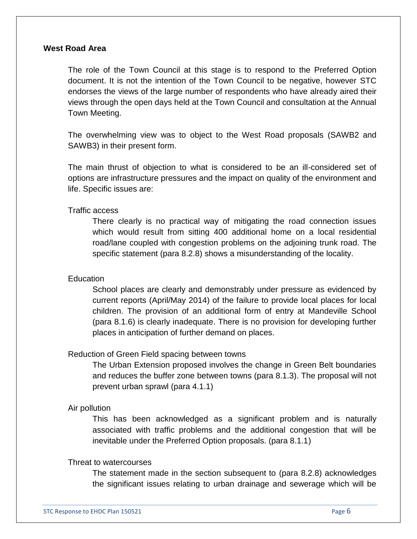### **West Road Area**

The role of the Town Council at this stage is to respond to the Preferred Option document. It is not the intention of the Town Council to be negative, however STC endorses the views of the large number of respondents who have already aired their views through the open days held at the Town Council and consultation at the Annual Town Meeting.

The overwhelming view was to object to the West Road proposals (SAWB2 and SAWB3) in their present form.

The main thrust of objection to what is considered to be an ill-considered set of options are infrastructure pressures and the impact on quality of the environment and life. Specific issues are:

Traffic access

There clearly is no practical way of mitigating the road connection issues which would result from sitting 400 additional home on a local residential road/lane coupled with congestion problems on the adjoining trunk road. The specific statement (para 8.2.8) shows a misunderstanding of the locality.

### Education

School places are clearly and demonstrably under pressure as evidenced by current reports (April/May 2014) of the failure to provide local places for local children. The provision of an additional form of entry at Mandeville School (para 8.1.6) is clearly inadequate. There is no provision for developing further places in anticipation of further demand on places.

#### Reduction of Green Field spacing between towns

The Urban Extension proposed involves the change in Green Belt boundaries and reduces the buffer zone between towns (para 8.1.3). The proposal will not prevent urban sprawl (para 4.1.1)

#### Air pollution

This has been acknowledged as a significant problem and is naturally associated with traffic problems and the additional congestion that will be inevitable under the Preferred Option proposals. (para 8.1.1)

#### Threat to watercourses

The statement made in the section subsequent to (para 8.2.8) acknowledges the significant issues relating to urban drainage and sewerage which will be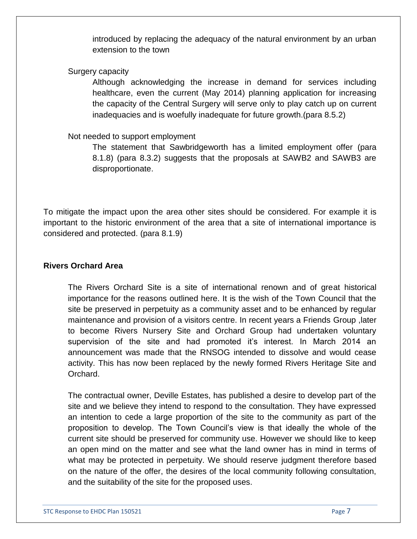introduced by replacing the adequacy of the natural environment by an urban extension to the town

### Surgery capacity

Although acknowledging the increase in demand for services including healthcare, even the current (May 2014) planning application for increasing the capacity of the Central Surgery will serve only to play catch up on current inadequacies and is woefully inadequate for future growth.(para 8.5.2)

## Not needed to support employment

The statement that Sawbridgeworth has a limited employment offer (para 8.1.8) (para 8.3.2) suggests that the proposals at SAWB2 and SAWB3 are disproportionate.

To mitigate the impact upon the area other sites should be considered. For example it is important to the historic environment of the area that a site of international importance is considered and protected. (para 8.1.9)

## **Rivers Orchard Area**

The Rivers Orchard Site is a site of international renown and of great historical importance for the reasons outlined here. It is the wish of the Town Council that the site be preserved in perpetuity as a community asset and to be enhanced by regular maintenance and provision of a visitors centre. In recent years a Friends Group ,later to become Rivers Nursery Site and Orchard Group had undertaken voluntary supervision of the site and had promoted it's interest. In March 2014 an announcement was made that the RNSOG intended to dissolve and would cease activity. This has now been replaced by the newly formed Rivers Heritage Site and Orchard.

The contractual owner, Deville Estates, has published a desire to develop part of the site and we believe they intend to respond to the consultation. They have expressed an intention to cede a large proportion of the site to the community as part of the proposition to develop. The Town Council's view is that ideally the whole of the current site should be preserved for community use. However we should like to keep an open mind on the matter and see what the land owner has in mind in terms of what may be protected in perpetuity. We should reserve judgment therefore based on the nature of the offer, the desires of the local community following consultation, and the suitability of the site for the proposed uses.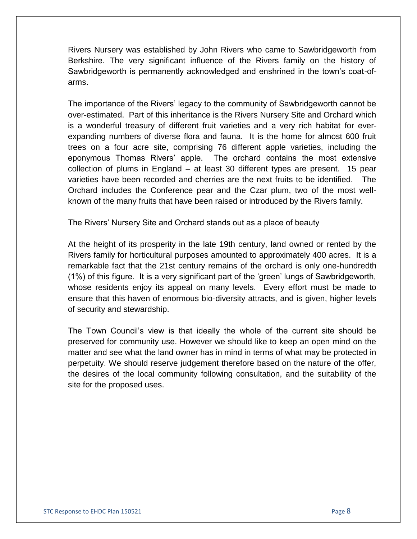Rivers Nursery was established by John Rivers who came to Sawbridgeworth from Berkshire. The very significant influence of the Rivers family on the history of Sawbridgeworth is permanently acknowledged and enshrined in the town's coat-ofarms.

The importance of the Rivers' legacy to the community of Sawbridgeworth cannot be over-estimated. Part of this inheritance is the Rivers Nursery Site and Orchard which is a wonderful treasury of different fruit varieties and a very rich habitat for everexpanding numbers of diverse flora and fauna. It is the home for almost 600 fruit trees on a four acre site, comprising 76 different apple varieties, including the eponymous Thomas Rivers' apple. The orchard contains the most extensive collection of plums in England – at least 30 different types are present. 15 pear varieties have been recorded and cherries are the next fruits to be identified. The Orchard includes the Conference pear and the Czar plum, two of the most wellknown of the many fruits that have been raised or introduced by the Rivers family.

The Rivers' Nursery Site and Orchard stands out as a place of beauty

At the height of its prosperity in the late 19th century, land owned or rented by the Rivers family for horticultural purposes amounted to approximately 400 acres. It is a remarkable fact that the 21st century remains of the orchard is only one-hundredth (1%) of this figure. It is a very significant part of the 'green' lungs of Sawbridgeworth, whose residents enjoy its appeal on many levels. Every effort must be made to ensure that this haven of enormous bio-diversity attracts, and is given, higher levels of security and stewardship.

The Town Council's view is that ideally the whole of the current site should be preserved for community use. However we should like to keep an open mind on the matter and see what the land owner has in mind in terms of what may be protected in perpetuity. We should reserve judgement therefore based on the nature of the offer, the desires of the local community following consultation, and the suitability of the site for the proposed uses.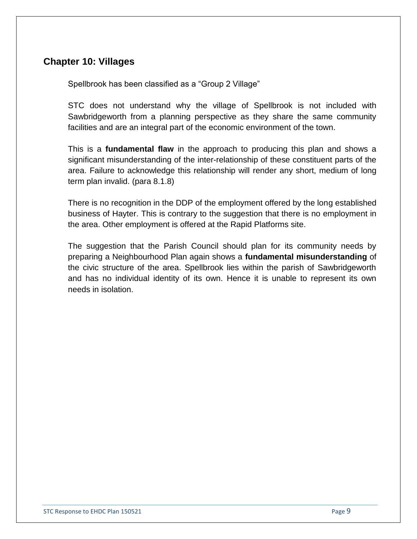## **Chapter 10: Villages**

Spellbrook has been classified as a "Group 2 Village"

STC does not understand why the village of Spellbrook is not included with Sawbridgeworth from a planning perspective as they share the same community facilities and are an integral part of the economic environment of the town.

This is a **fundamental flaw** in the approach to producing this plan and shows a significant misunderstanding of the inter-relationship of these constituent parts of the area. Failure to acknowledge this relationship will render any short, medium of long term plan invalid. (para 8.1.8)

There is no recognition in the DDP of the employment offered by the long established business of Hayter. This is contrary to the suggestion that there is no employment in the area. Other employment is offered at the Rapid Platforms site.

The suggestion that the Parish Council should plan for its community needs by preparing a Neighbourhood Plan again shows a **fundamental misunderstanding** of the civic structure of the area. Spellbrook lies within the parish of Sawbridgeworth and has no individual identity of its own. Hence it is unable to represent its own needs in isolation.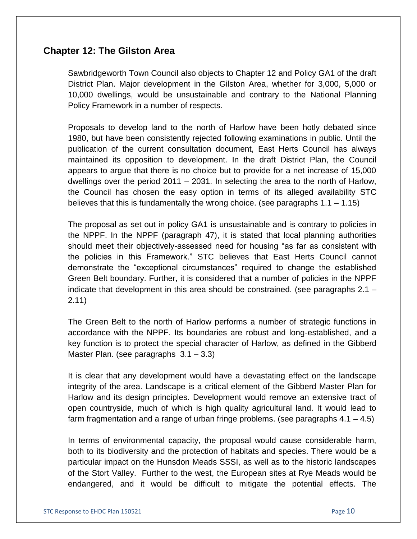## **Chapter 12: The Gilston Area**

Sawbridgeworth Town Council also objects to Chapter 12 and Policy GA1 of the draft District Plan. Major development in the Gilston Area, whether for 3,000, 5,000 or 10,000 dwellings, would be unsustainable and contrary to the National Planning Policy Framework in a number of respects.

Proposals to develop land to the north of Harlow have been hotly debated since 1980, but have been consistently rejected following examinations in public. Until the publication of the current consultation document, East Herts Council has always maintained its opposition to development. In the draft District Plan, the Council appears to argue that there is no choice but to provide for a net increase of 15,000 dwellings over the period 2011 – 2031. In selecting the area to the north of Harlow, the Council has chosen the easy option in terms of its alleged availability STC believes that this is fundamentally the wrong choice. (see paragraphs  $1.1 - 1.15$ )

The proposal as set out in policy GA1 is unsustainable and is contrary to policies in the NPPF. In the NPPF (paragraph 47), it is stated that local planning authorities should meet their objectively-assessed need for housing "as far as consistent with the policies in this Framework." STC believes that East Herts Council cannot demonstrate the "exceptional circumstances" required to change the established Green Belt boundary. Further, it is considered that a number of policies in the NPPF indicate that development in this area should be constrained. (see paragraphs 2.1 – 2.11)

The Green Belt to the north of Harlow performs a number of strategic functions in accordance with the NPPF. Its boundaries are robust and long-established, and a key function is to protect the special character of Harlow, as defined in the Gibberd Master Plan. (see paragraphs 3.1 – 3.3)

It is clear that any development would have a devastating effect on the landscape integrity of the area. Landscape is a critical element of the Gibberd Master Plan for Harlow and its design principles. Development would remove an extensive tract of open countryside, much of which is high quality agricultural land. It would lead to farm fragmentation and a range of urban fringe problems. (see paragraphs  $4.1 - 4.5$ )

In terms of environmental capacity, the proposal would cause considerable harm, both to its biodiversity and the protection of habitats and species. There would be a particular impact on the Hunsdon Meads SSSI, as well as to the historic landscapes of the Stort Valley. Further to the west, the European sites at Rye Meads would be endangered, and it would be difficult to mitigate the potential effects. The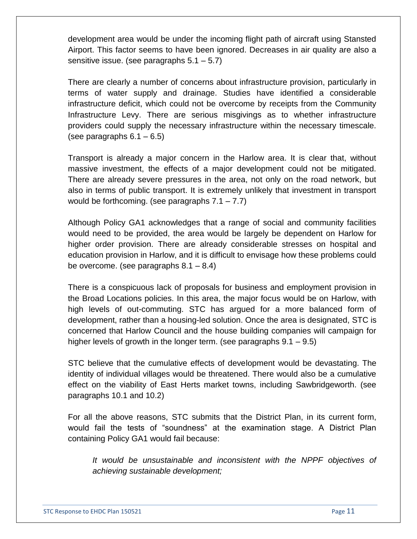development area would be under the incoming flight path of aircraft using Stansted Airport. This factor seems to have been ignored. Decreases in air quality are also a sensitive issue. (see paragraphs 5.1 – 5.7)

There are clearly a number of concerns about infrastructure provision, particularly in terms of water supply and drainage. Studies have identified a considerable infrastructure deficit, which could not be overcome by receipts from the Community Infrastructure Levy. There are serious misgivings as to whether infrastructure providers could supply the necessary infrastructure within the necessary timescale. (see paragraphs  $6.1 - 6.5$ )

Transport is already a major concern in the Harlow area. It is clear that, without massive investment, the effects of a major development could not be mitigated. There are already severe pressures in the area, not only on the road network, but also in terms of public transport. It is extremely unlikely that investment in transport would be forthcoming. (see paragraphs 7.1 – 7.7)

Although Policy GA1 acknowledges that a range of social and community facilities would need to be provided, the area would be largely be dependent on Harlow for higher order provision. There are already considerable stresses on hospital and education provision in Harlow, and it is difficult to envisage how these problems could be overcome. (see paragraphs 8.1 – 8.4)

There is a conspicuous lack of proposals for business and employment provision in the Broad Locations policies. In this area, the major focus would be on Harlow, with high levels of out-commuting. STC has argued for a more balanced form of development, rather than a housing-led solution. Once the area is designated, STC is concerned that Harlow Council and the house building companies will campaign for higher levels of growth in the longer term. (see paragraphs 9.1 – 9.5)

STC believe that the cumulative effects of development would be devastating. The identity of individual villages would be threatened. There would also be a cumulative effect on the viability of East Herts market towns, including Sawbridgeworth. (see paragraphs 10.1 and 10.2)

For all the above reasons, STC submits that the District Plan, in its current form, would fail the tests of "soundness" at the examination stage. A District Plan containing Policy GA1 would fail because:

*It would be unsustainable and inconsistent with the NPPF objectives of achieving sustainable development;*